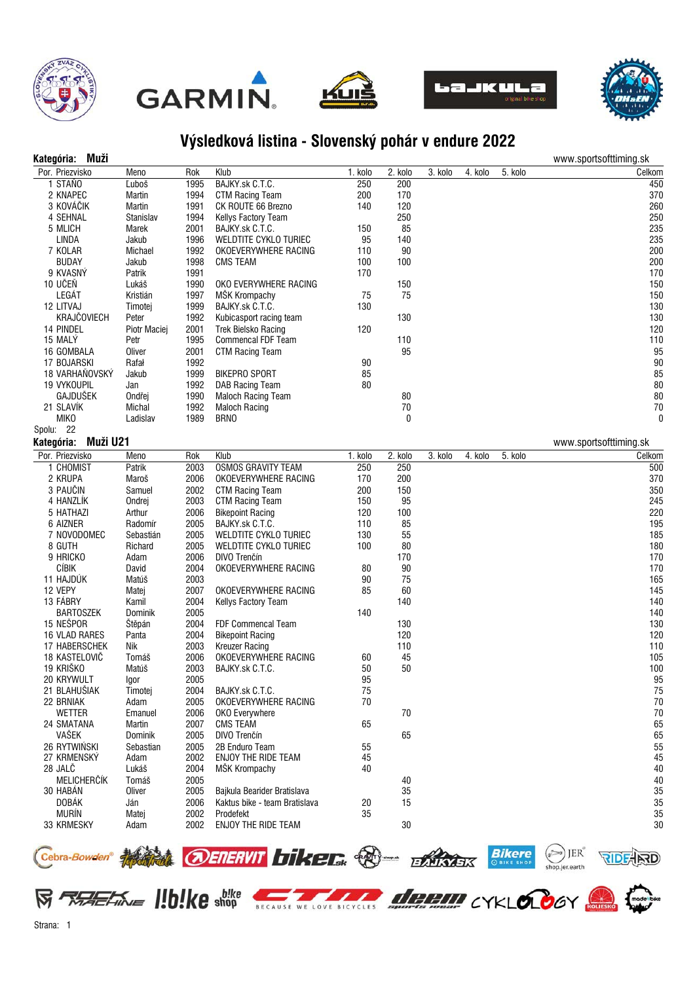









## **Výsledková listina - Slovenský pohár v endure 2022**

| Kategória: | Muž |  |
|------------|-----|--|
|            |     |  |

| Muži<br>Kategória:     |                |      |                               |         |          |         |         |                   |                  | www.sportsofttiming.sk |
|------------------------|----------------|------|-------------------------------|---------|----------|---------|---------|-------------------|------------------|------------------------|
| Por. Priezvisko        | Meno           | Rok  | Klub                          | 1. kolo | 2. kolo  | 3. kolo | 4. kolo | 5. kolo           |                  | Celkom                 |
| 1 STAŇO                | Ľuboš          | 1995 | BAJKY.sk C.T.C.               | 250     | 200      |         |         |                   |                  | 450                    |
| 2 KNAPEC               | Martin         | 1994 | <b>CTM Racing Team</b>        | 200     | 170      |         |         |                   |                  | 370                    |
| 3 KOVÁČIK              | Martin         | 1991 | CK ROUTE 66 Brezno            | 140     | 120      |         |         |                   |                  | 260                    |
| 4 SEHNAL               | Stanislav      | 1994 | Kellys Factory Team           |         | 250      |         |         |                   |                  | 250                    |
| 5 MLICH                | Marek          | 2001 | BAJKY.sk C.T.C.               | 150     | 85       |         |         |                   |                  | 235                    |
| <b>LINDA</b>           | Jakub          | 1996 | WELDTITE CYKLO TURIEC         | 95      | 140      |         |         |                   |                  | 235                    |
| 7 KOLAR                | Michael        | 1992 | OKOEVERYWHERE RACING          | 110     | 90       |         |         |                   |                  | 200                    |
| <b>BUDAY</b>           | Jakub          | 1998 | <b>CMS TEAM</b>               | 100     | 100      |         |         |                   |                  | 200                    |
| 9 KVASNÝ               | Patrik         | 1991 |                               | 170     |          |         |         |                   |                  | 170                    |
| 10 UČEŇ                | Lukáš          | 1990 | OKO EVERYWHERE RACING         |         | 150      |         |         |                   |                  | 150                    |
| LEGÁT                  | Kristián       | 1997 | MŠK Krompachy                 | 75      | 75       |         |         |                   |                  | 150                    |
| 12 LITVAJ              | Timotej        | 1999 | BAJKY.sk C.T.C.               | 130     |          |         |         |                   |                  | 130                    |
| <b>KRAJČOVIECH</b>     | Peter          | 1992 | Kubicasport racing team       |         | 130      |         |         |                   |                  | 130                    |
| 14 PINDEL              | Piotr Maciej   | 2001 | <b>Trek Bielsko Racing</b>    | 120     |          |         |         |                   |                  | 120                    |
| 15 MALÝ                | Petr           | 1995 | Commencal FDF Team            |         | 110      |         |         |                   |                  | 110                    |
| 16 GOMBALA             | Oliver         | 2001 | <b>CTM Racing Team</b>        |         | 95       |         |         |                   |                  | 95                     |
| 17 BOJARSKI            | Rafał          | 1992 |                               | 90      |          |         |         |                   |                  | 90                     |
| 18 VARHAŇOVSKÝ         | Jakub          | 1999 | <b>BIKEPRO SPORT</b>          | 85      |          |         |         |                   |                  | 85                     |
| 19 VYKOUPIL            | Jan            | 1992 | DAB Racing Team               | 80      |          |         |         |                   |                  | 80                     |
| GAJDUŠEK               | Ondřej         | 1990 | <b>Maloch Racing Team</b>     |         | 80       |         |         |                   |                  | 80                     |
| 21 SLAVÍK              | Michal         | 1992 | <b>Maloch Racing</b>          |         | 70       |         |         |                   |                  | 70                     |
| <b>MIKO</b>            | Ladislav       | 1989 | <b>BRNO</b>                   |         | $\bf{0}$ |         |         |                   |                  | 0                      |
| Spolu: 22              |                |      |                               |         |          |         |         |                   |                  |                        |
| Kategória:<br>Muži U21 |                |      |                               |         |          |         |         |                   |                  | www.sportsofttiming.sk |
| Por. Priezvisko        | Meno           | Rok  | Klub                          | 1. kolo | 2. kolo  | 3. kolo | 4. kolo | 5. kolo           |                  | Celkom                 |
| 1 CHOMIST              | Patrik         | 2003 | <b>OSMOS GRAVITY TEAM</b>     | 250     | 250      |         |         |                   |                  | 500                    |
| 2 KRUPA                | Maroš          | 2006 | OKOEVERYWHERE RACING          | 170     | 200      |         |         |                   |                  | 370                    |
| 3 PAUČIN               | Samuel         | 2002 | <b>CTM Racing Team</b>        | 200     | 150      |         |         |                   |                  | 350                    |
| 4 HANZLIK              | Ondrej         | 2003 | <b>CTM Racing Team</b>        | 150     | 95       |         |         |                   |                  | 245                    |
| 5 HATHAZI              | Arthur         | 2006 | <b>Bikepoint Racing</b>       | 120     | 100      |         |         |                   |                  | 220                    |
| 6 AIZNER               | Radomír        | 2005 | BAJKY.sk C.T.C.               | 110     | 85       |         |         |                   |                  | 195                    |
| 7 NOVODOMEC            | Sebastián      | 2005 | WELDTITE CYKLO TURIEC         | 130     | 55       |         |         |                   |                  | 185                    |
| 8 GUTH                 | Richard        | 2005 | WELDTITE CYKLO TURIEC         | 100     | 80       |         |         |                   |                  | 180                    |
| 9 HRICKO               | Adam           | 2006 | DIVO Trenčín                  |         | 170      |         |         |                   |                  | 170                    |
| CÍBIK                  | David          | 2004 | OKOEVERYWHERE RACING          | 80      | 90       |         |         |                   |                  | 170                    |
| 11 HAJDUK              | Matúš          | 2003 |                               | 90      | 75       |         |         |                   |                  | 165                    |
| 12 VEPY                | Matej          | 2007 | OKOEVERYWHERE RACING          | 85      | 60       |         |         |                   |                  | 145                    |
| 13 FÁBRY               | Kamil          | 2004 | Kellys Factory Team           |         | 140      |         |         |                   |                  | 140                    |
| <b>BARTOSZEK</b>       | Dominik        | 2005 |                               | 140     |          |         |         |                   |                  | 140                    |
| 15 NEŠPOR              | Štěpán         | 2004 | FDF Commencal Team            |         | 130      |         |         |                   |                  | 130                    |
| 16 VLAD RARES          | Panta          | 2004 | <b>Bikepoint Racing</b>       |         | 120      |         |         |                   |                  | 120                    |
| 17 HABERSCHEK          | Nik            | 2003 | <b>Kreuzer Racing</b>         |         | 110      |         |         |                   |                  | 110                    |
| 18 KASTELOVIČ          | Tomáš          | 2006 | OKOEVERYWHERE RACING          | 60      | 45       |         |         |                   |                  | 105                    |
| 19 KRIŠKO              | Matúš          | 2003 | BAJKY.sk C.T.C.               | 50      | 50       |         |         |                   |                  | 100                    |
| 20 KRYWULT             | Igor           | 2005 |                               | 95      |          |         |         |                   |                  | 95                     |
| 21 BLAHUŠIAK           | Timotej        | 2004 | BAJKY.sk C.T.C.               | 75      |          |         |         |                   |                  | 75                     |
| 22 BRNIAK              | Adam           | 2005 | OKOEVERYWHERE RACING          | 70      |          |         |         |                   |                  | 70                     |
| <b>WETTER</b>          | Emanuel        | 2006 | OKO Everywhere                |         | 70       |         |         |                   |                  | 70                     |
| 24 SMATANA             | Martin         | 2007 | <b>CMS TEAM</b>               | 65      |          |         |         |                   |                  | 65                     |
| VAŠEK                  | <b>Dominik</b> | 2005 | DIVO Trenčín                  |         | 65       |         |         |                   |                  | 65                     |
| 26 RYTWIŃSKI           | Sebastian      | 2005 | 2B Enduro Team                | 55      |          |         |         |                   |                  | 55                     |
| 27 KRMENSKÝ            | Adam           | 2002 | ENJOY THE RIDE TEAM           | 45      |          |         |         |                   |                  | 45                     |
| 28 JALC                | Lukáš          | 2004 | MŠK Krompachy                 | 40      |          |         |         |                   |                  | 40                     |
| MELICHERČÍK            | Tomáš          | 2005 |                               |         | 40       |         |         |                   |                  | 40                     |
| 30 HABÁN               | Oliver         | 2005 | Bajkula Bearider Bratislava   |         | 35       |         |         |                   |                  | 35                     |
| <b>DOBÁK</b>           | Ján            | 2006 | Kaktus bike - team Bratislava | 20      | 15       |         |         |                   |                  | 35                     |
| <b>MURÍN</b>           | Matej          | 2002 | Prodefekt                     | 35      |          |         |         |                   |                  | 35                     |
| 33 KRMESKY             | Adam           | 2002 | <b>ENJOY THE RIDE TEAM</b>    |         | 30       |         |         |                   |                  | 30                     |
|                        |                |      |                               |         |          |         |         |                   |                  |                        |
|                        |                |      | OENERVIT <b>biker</b> Co-     |         |          |         |         | <b>Bikere</b>     | JER <sup>®</sup> |                        |
| (Cebra-Bowden®         |                |      |                               |         |          |         |         | <b>OBIKE SHOP</b> |                  |                        |

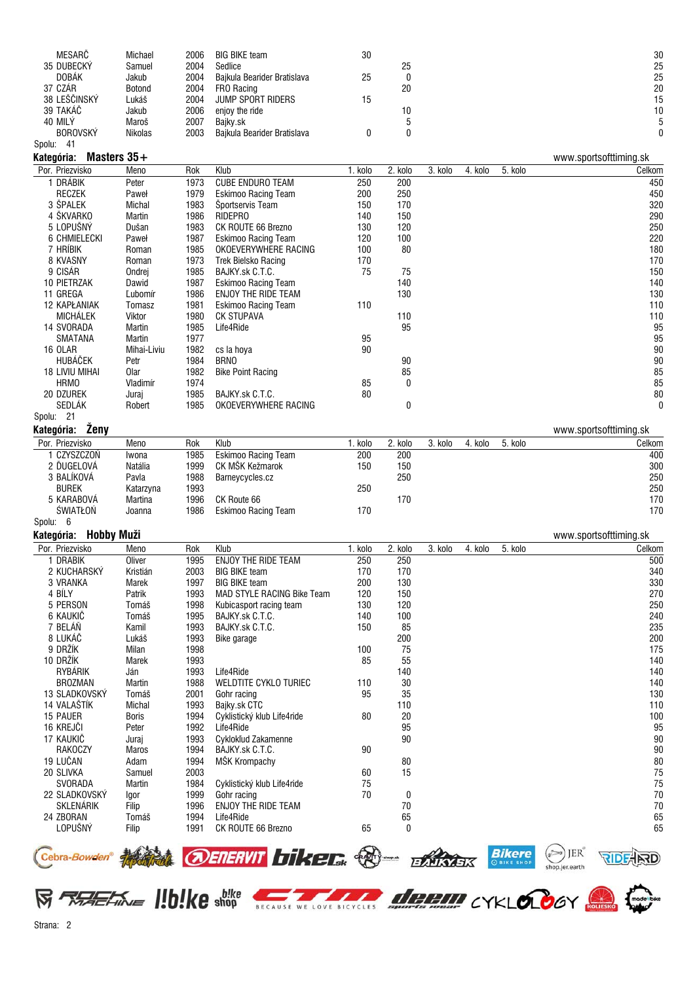| MESARČ          | Michael       | 2006 | <b>BIG BIKE team</b>        | 30 |    | 30 |
|-----------------|---------------|------|-----------------------------|----|----|----|
| 35 DUBECKY      | Samuel        | 2004 | Sedlice                     |    | 25 | 25 |
| <b>DOBAK</b>    | Jakub         | 2004 | Bajkula Bearider Bratislava | 25 | C  | 25 |
| 37 CZÁR         | <b>Botond</b> | 2004 | FRO Racing                  |    | 20 | 20 |
| 38 LEŠČINSKÝ    | Lukáš         | 2004 | <b>JUMP SPORT RIDERS</b>    | 15 |    | 15 |
| 39 TAKÁČ        | Jakub         | 2006 | enjoy the ride              |    | 10 | 10 |
| 40 MILY         | Maroš         | 2007 | Baikv.sk                    |    |    |    |
| <b>BOROVSKÝ</b> | Nikolas       | 2003 | Bajkula Bearider Bratislava |    |    |    |
| Spolu:<br>-41   |               |      |                             |    |    |    |

## **Kategória: Masters 35+** www.sportsofttiming.sk

| Por. Priezvisko       | Meno        | Rok  | Klub                       | 1. kolo | 2. kolo | 3. kolo | 4. kolo | 5. kolo | Celkom       |
|-----------------------|-------------|------|----------------------------|---------|---------|---------|---------|---------|--------------|
| DRÁBIK                | Peter       | 1973 | <b>CUBE ENDURO TEAM</b>    | 250     | 200     |         |         |         | 450          |
| <b>RECZEK</b>         | Paweł       | 1979 | Eskimoo Racing Team        | 200     | 250     |         |         |         | 450          |
| 3 ŠPALEK              | Michal      | 1983 | Sportservis Team           | 150     | 170     |         |         |         | 320          |
| 4 ŠKVARKO             | Martin      | 1986 | RIDEPRO                    | 140     | 150     |         |         |         | 290          |
| 5 LOPUŠNÝ             | Dušan       | 1983 | CK ROUTE 66 Brezno         | 130     | 120     |         |         |         | 250          |
| 6 CHMIELECKI          | Paweł       | 1987 | <b>Eskimoo Racing Team</b> | 120     | 100     |         |         |         | 220          |
| 7 hríbik              | Roman       | 1985 | OKOEVERYWHERE RACING       | 100     | 80      |         |         |         | 180          |
| 8 KVASNY              | Roman       | 1973 | <b>Trek Bielsko Racing</b> | 170     |         |         |         |         | 170          |
| 9 CISÁR               | Ondrej      | 1985 | BAJKY.sk C.T.C.            | 75      | 75      |         |         |         | 150          |
| <b>10 PIETRZAK</b>    | Dawid       | 1987 | Eskimoo Racing Team        |         | 140     |         |         |         | 140          |
| 11 GREGA              | Ľubomír     | 1986 | ENJOY THE RIDE TEAM        |         | 130     |         |         |         | 130          |
| <b>12 KAPŁANIAK</b>   | Tomasz      | 1981 | <b>Eskimoo Racing Team</b> | 110     |         |         |         |         | 110          |
| <b>MICHÁLEK</b>       | Viktor      | 1980 | <b>CK STUPAVA</b>          |         | 110     |         |         |         | 110          |
| 14 SVORADA            | Martin      | 1985 | Life4Ride                  |         | 95      |         |         |         | 95           |
| <b>SMATANA</b>        | Martin      | 1977 |                            | 95      |         |         |         |         | 95           |
| <b>16 OLAR</b>        | Mihai-Liviu | 1982 | cs la hoya                 | 90      |         |         |         |         | 90           |
| HUBÁČEK               | Petr        | 1984 | <b>BRNO</b>                |         | 90      |         |         |         | 90           |
| <b>18 LIVIU MIHAI</b> | 0lar        | 1982 | <b>Bike Point Racing</b>   |         | 85      |         |         |         | 85           |
| <b>HRMO</b>           | Vladimír    | 1974 |                            | 85      | 0       |         |         |         | 85           |
| 20 DZUREK             | Juraj       | 1985 | BAJKY.sk C.T.C.            | 80      |         |         |         |         | 80           |
| <b>SEDLAK</b>         | Robert      | 1985 | OKOEVERYWHERE RACING       |         | 0       |         |         |         | $\mathbf{0}$ |
| Spolu: 21             |             |      |                            |         |         |         |         |         |              |

**Kategória: Ženy** www.sportsofttiming.sk

| Por. Priezvisko | Meno      | Rok  | Klub                       | kolo | . kolo | 3. kolo | 4. kolo | 5. kolo | Celkom |
|-----------------|-----------|------|----------------------------|------|--------|---------|---------|---------|--------|
| CZYSZCZOŃ       | Iwona     | 1985 | Eskimoo Racing Team        | 200  | 200    |         |         |         | 400    |
| 2 ĎUGELOVÁ      | Natália   | 1999 | CK MŠK Kežmarok            | 150  | 150    |         |         |         | 300    |
| 3 BALÍKOVÁ      | Pavla     | 1988 | Barneycycles.cz            |      | 250    |         |         |         | 250    |
| <b>BUREK</b>    | Katarzvna | 1993 |                            | 250  |        |         |         |         | 250    |
| 5 KARABOVÁ      | Martina   | 1996 | CK Route 66                |      | 170    |         |         |         | 170    |
| ŚWIATŁOŃ        | Joanna    | 1986 | <b>Eskimoo Racing Team</b> | 170  |        |         |         |         | 170    |
|                 |           |      |                            |      |        |         |         |         |        |

Spolu: 6

**Kategória: Hobby Muži** www.sportsofttiming.sk

| Por. Priezvisko  | Meno          | Rok  | Klub                              | 1. kolo | 2. kolo      | 3. kolo | 4. kolo | 5. kolo | Celkom |
|------------------|---------------|------|-----------------------------------|---------|--------------|---------|---------|---------|--------|
| DRABIK           | Oliver        | 1995 | ENJOY THE RIDE TEAM               | 250     | 250          |         |         |         | 500    |
| 2 KUCHARSKÝ      | Kristián      | 2003 | <b>BIG BIKE team</b>              | 170     | 170          |         |         |         | 340    |
| 3 VRANKA         | Marek         | 1997 | <b>BIG BIKE team</b>              | 200     | 130          |         |         |         | 330    |
| 4 BÍLY           | Patrik        | 1993 | <b>MAD STYLE RACING Bike Team</b> | 120     | 150          |         |         |         | 270    |
| 5 PERSON         | Tomáš         | 1998 | Kubicasport racing team           | 130     | 120          |         |         |         | 250    |
| 6 KAUKIĆ         | Tomáš         | 1995 | BAJKY.sk C.T.C.                   | 140     | 100          |         |         |         | 240    |
| 7 BELÁŇ          | Kamil         | 1993 | BAJKY.sk C.T.C.                   | 150     | 85           |         |         |         | 235    |
| 8 LUKÁČ          | Lukáš         | 1993 | Bike garage                       |         | 200          |         |         |         | 200    |
| 9 DRŽÍK          | Milan         | 1998 |                                   | 100     | 75           |         |         |         | 175    |
| 10 DRŽÍK         | Marek         | 1993 |                                   | 85      | 55           |         |         |         | 140    |
| RYBÁRIK          | Ján           | 1993 | Life4Ride                         |         | 140          |         |         |         | 140    |
| <b>BROZMAN</b>   | <b>Martin</b> | 1988 | WELDTITE CYKLO TURIEC             | 110     | 30           |         |         |         | 140    |
| 13 SLADKOVSKÝ    | Tomáš         | 2001 | Gohr racing                       | 95      | 35           |         |         |         | 130    |
| 14 VALAŠTÍK      | <b>Michal</b> | 1993 | Bajky.sk CTC                      |         | 110          |         |         |         | 110    |
| 15 PAUER         | <b>Boris</b>  | 1994 | Cyklistický klub Life4ride        | 80      | 20           |         |         |         | 100    |
| 16 KREJČI        | Peter         | 1992 | Life4Ride                         |         | 95           |         |         |         | 95     |
| 17 KAUKIĆ        | Juraj         | 1993 | Cyklokľud Zakamenne               |         | 90           |         |         |         | 90     |
| <b>RAKOCZY</b>   | Maros         | 1994 | BAJKY.sk C.T.C.                   | 90      |              |         |         |         | 90     |
| 19 LUČAN         | Adam          | 1994 | MŠK Krompachy                     |         | 80           |         |         |         | 80     |
| 20 SLIVKA        | Samuel        | 2003 |                                   | 60      | 15           |         |         |         | 75     |
| SVORADA          | Martin        | 1984 | Cyklistický klub Life4ride        | 75      |              |         |         |         | 75     |
| 22 SLADKOVSKÝ    | Igor          | 1999 | Gohr racing                       | 70      | 0            |         |         |         | 70     |
| <b>SKLENÁRIK</b> | Filip         | 1996 | ENJOY THE RIDE TEAM               |         | 70           |         |         |         | 70     |
| 24 ZBORAN        | Tomáš         | 1994 | Life4Ride                         |         | 65           |         |         |         | 65     |
| LOPUŠNÝ          | Filip         | 1991 | CK ROUTE 66 Brezno                | 65      | $\mathbf{0}$ |         |         |         | 65     |



**SERVE HOLKE SHOP BECAUSE WE LOVE BICYCLES DEPERTY CYKLOLOGY ROOMS**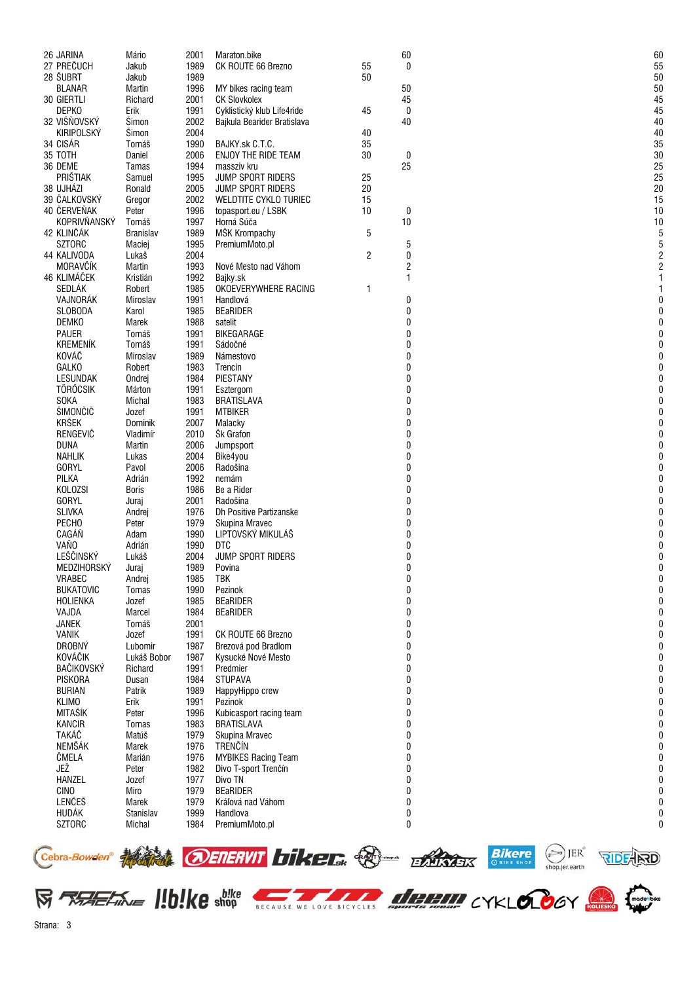| 26 JARINA         | Mário        | 2001 | Maraton.bike                |    | 60               | 60 |
|-------------------|--------------|------|-----------------------------|----|------------------|----|
| 27 PREČUCH        | Jakub        | 1989 | CK ROUTE 66 Brezno          | 55 | 0                | 55 |
| 28 ŠUBRT          | Jakub        | 1989 |                             | 50 |                  | 50 |
| <b>BLANAR</b>     | Martin       | 1996 | MY bikes racing team        |    | 50               | 50 |
| 30 GIERTLI        | Richard      | 2001 | <b>CK Slovkolex</b>         |    | 45               | 45 |
| DEPK0             | Erik         | 1991 |                             | 45 | 0                | 45 |
|                   |              |      | Cyklistický klub Life4ride  |    |                  |    |
| 32 VIŠŇOVSKÝ      | Šimon        | 2002 | Bajkula Bearider Bratislava |    | 40               | 40 |
| <b>KIRIPOLSKÝ</b> | Šimon        | 2004 |                             | 40 |                  | 40 |
| 34 CISÁR          | Tomáš        | 1990 | BAJKY.sk C.T.C.             | 35 |                  | 35 |
| 35 TOTH           | Daniel       | 2006 | ENJOY THE RIDE TEAM         | 30 | $\boldsymbol{0}$ | 30 |
| 36 DEME           | Tamas        | 1994 | massziv kru                 |    | 25               | 25 |
| PRIŠTIAK          | Samuel       | 1995 | JUMP SPORT RIDERS           | 25 |                  | 25 |
| 38 UJHÁZI         | Ronald       | 2005 | <b>JUMP SPORT RIDERS</b>    | 20 |                  | 20 |
|                   |              |      |                             |    |                  |    |
| 39 ČALKOVSKÝ      | Gregor       | 2002 | WELDTITE CYKLO TURIEC       | 15 |                  | 15 |
| 40 ČERVEŇAK       | Peter        | 1996 | topasport.eu / LSBK         | 10 | 0                | 10 |
| KOPRIVŇANSKÝ      | Tomáš        | 1997 | Horná Súča                  |    | 10               | 10 |
| 42 KLINČÁK        | Branislav    | 1989 | MŠK Krompachy               | 5  |                  |    |
| <b>SZTORC</b>     | Maciej       | 1995 | PremiumMoto.pl              |    | 5                |    |
| 44 KALIVODA       | Lukaš        | 2004 |                             | 2  | 0                |    |
| MORAVČÍK          | Martin       | 1993 | Nové Mesto nad Váhom        |    | 2                |    |
|                   |              |      |                             |    |                  |    |
| 46 KLIMÁČEK       | Kristián     | 1992 | Bajky.sk                    |    | 1                |    |
| SEDLÁK            | Robert       | 1985 | OKOEVERYWHERE RACING        | 1  |                  |    |
| VAJNORÁK          | Miroslav     | 1991 | Handlová                    |    | 0                |    |
| <b>SLOBODA</b>    | Karol        | 1985 | <b>BEaRIDER</b>             |    | 0                |    |
| <b>DEMKO</b>      | <b>Marek</b> | 1988 | satelit                     |    | 0                |    |
| PAUER             | Tomáš        | 1991 | BIKEGARAGE                  |    | 0                |    |
| <b>KREMENÍK</b>   |              |      |                             |    | 0                |    |
|                   | Tomáš        | 1991 | Sádočné                     |    |                  |    |
| KOVÁČ             | Miroslav     | 1989 | Námestovo                   |    | 0                |    |
| <b>GALKO</b>      | Robert       | 1983 | Trencin                     |    | 0                |    |
| <b>LESUNDAK</b>   | Ondrej       | 1984 | PIESTANY                    |    | 0                |    |
| TÖRŐCSIK          | Márton       | 1991 | Esztergom                   |    | $\bf{0}$         |    |
| <b>SOKA</b>       | Michal       | 1983 | <b>BRATISLAVA</b>           |    | 0                |    |
| ŠIMONČIČ          | Jozef        | 1991 | <b>MTBIKER</b>              |    | 0                |    |
|                   |              |      |                             |    |                  |    |
| <b>KRŠEK</b>      | Dominik      | 2007 | Malacky                     |    | 0                |    |
| RENGEVIČ          | Vladimír     | 2010 | <b>Sk Grafon</b>            |    | 0                |    |
| <b>DUNA</b>       | Martin       | 2006 | Jumpsport                   |    | 0                |    |
| NAHLIK            | Lukas        | 2004 | Bike4you                    |    | 0                |    |
| <b>GORYL</b>      | Pavol        | 2006 | Radošina                    |    | 0                |    |
| <b>PILKA</b>      | Adrián       | 1992 | nemám                       |    | 0                |    |
| <b>KOLOZSI</b>    | Boris        | 1986 | Be a Rider                  |    | 0                |    |
|                   |              |      |                             |    |                  |    |
| <b>GORYL</b>      | Juraj        | 2001 | Radošina                    |    | 0                |    |
| <b>SLIVKA</b>     | Andrej       | 1976 | Dh Positive Partizanske     |    | 0                |    |
| PECHO             | Peter        | 1979 | Skupina Mravec              |    | 0                |    |
| CAGÁŇ             | Adam         | 1990 | LIPTOVSKÝ MIKULÁŠ           |    | 0                |    |
| VAŇ <sub>O</sub>  | Adrián       | 1990 | <b>DTC</b>                  |    | 0                |    |
| LEŠČINSKÝ         | Lukáš        | 2004 | <b>JUMP SPORT RIDERS</b>    |    | 0                |    |
| MEDZIHORSKÝ       |              | 1989 |                             |    | 0                |    |
|                   | Juraj        |      | Povina                      |    |                  |    |
| VRABEC            | Andrej       | 1985 | TBK                         |    | 0                |    |
| <b>BUKATOVIC</b>  | Tomas        | 1990 | Pezinok                     |    | 0                |    |
| <b>HOLIENKA</b>   | Jozef        | 1985 | <b>BEaRIDER</b>             |    | 0                |    |
| VAJDA             | Marcel       | 1984 | <b>BEaRIDER</b>             |    | 0                |    |
| <b>JANEK</b>      | Tomáš        | 2001 |                             |    | 0                |    |
| <b>VANIK</b>      | Jozef        | 1991 | CK ROUTE 66 Brezno          |    | 0                |    |
| <b>DROBNÝ</b>     | Lubomir      | 1987 | Brezová pod Bradlom         |    | 0                |    |
| KOVÁČIK           | Lukáš Bobor  | 1987 | Kysucké Nové Mesto          |    | 0                |    |
|                   |              |      |                             |    |                  |    |
| <b>BAČIKOVSKÝ</b> | Richard      | 1991 | Predmier                    |    | 0                |    |
| PISKORA           | Dusan        | 1984 | <b>STUPAVA</b>              |    | 0                |    |
| <b>BURIAN</b>     | Patrik       | 1989 | HappyHippo crew             |    | 0                |    |
| <b>KLIMO</b>      | Erik         | 1991 | Pezinok                     |    | 0                |    |
| MITAŠÍK           | Peter        | 1996 | Kubicasport racing team     |    | 0                |    |
| <b>KANCIR</b>     | Tomas        | 1983 | <b>BRATISLAVA</b>           |    | 0                |    |
| TAKÁČ             | Matúš        | 1979 | Skupina Mravec              |    | 0                |    |
|                   |              |      |                             |    |                  |    |
| NEMŠÁK            | Marek        | 1976 | TRENČÍN                     |    | 0                |    |
| ČMELA             | Marián       | 1976 | <b>MYBIKES Racing Team</b>  |    | 0                |    |
| JEŽ               | Peter        | 1982 | Divo T-sport Trenčín        |    | 0                |    |
| <b>HANZEL</b>     | Jozef        | 1977 | Divo TN                     |    | 0                |    |
| <b>CINO</b>       | Miro         | 1979 | <b>BEaRIDER</b>             |    | 0                |    |
| LENČEŠ            | Marek        | 1979 | Kráľová nad Váhom           |    | 0                |    |
| HUDÁK             | Stanislav    | 1999 | Handlova                    |    | 0                |    |
|                   |              |      |                             |    |                  |    |
| <b>SZTORC</b>     | Michal       | 1984 | PremiumMoto.pl              |    | 0                |    |
|                   |              |      |                             |    |                  |    |

 $\check{0}$ 

0

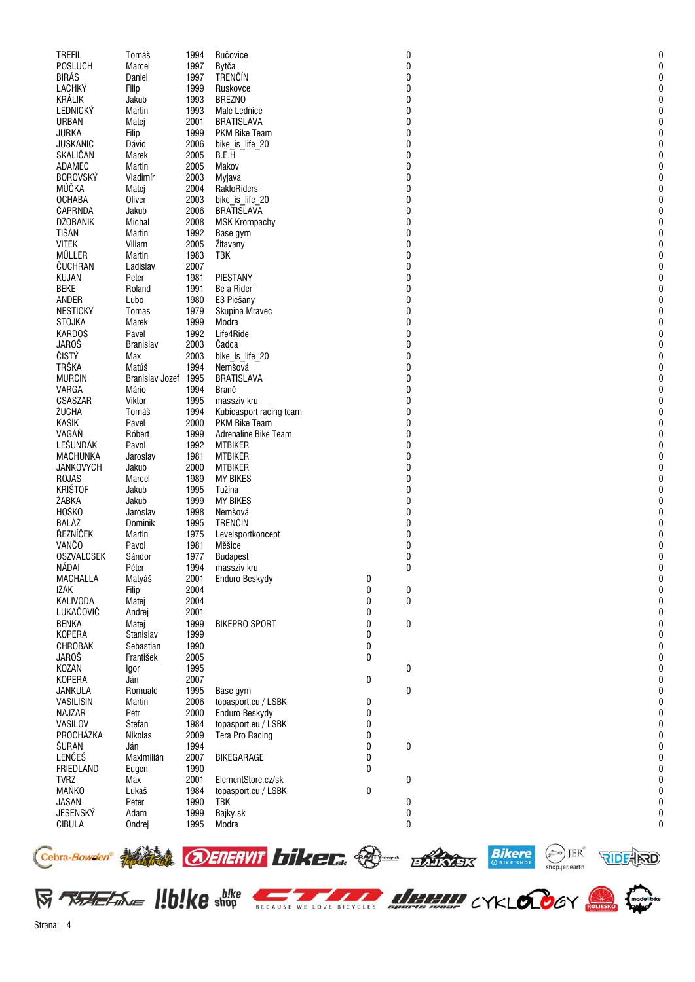| <b>TREFIL</b>     | Tomáš            | 1994 | Bučovice                      |   | 0        | 0 |
|-------------------|------------------|------|-------------------------------|---|----------|---|
| <b>POSLUCH</b>    | Marcel           | 1997 | Bytča                         |   | $\bf{0}$ | 0 |
| <b>BIRÁS</b>      | Daniel           | 1997 | <b>TRENČÍN</b>                |   | 0        | ſ |
|                   |                  |      |                               |   |          |   |
| LACHKÝ            | Filip            | 1999 | Ruskovce                      |   | 0        | 0 |
| <b>KRÁLIK</b>     | Jakub            | 1993 | <b>BREZNO</b>                 |   | 0        | 0 |
| <b>LEDNICKÝ</b>   | Martin           | 1993 | Malé Lednice                  |   | 0        | 0 |
| <b>URBAN</b>      | Matej            | 2001 | <b>BRATISLAVA</b>             |   | $\bf{0}$ | U |
| <b>JURKA</b>      | Filip            | 1999 | PKM Bike Team                 |   | 0        |   |
| <b>JUSKANIC</b>   |                  |      |                               |   |          | U |
|                   | Dávid            | 2006 | bike_is_life_20               |   | 0        |   |
| SKALIČAN          | Marek            | 2005 | B.E.H                         |   | 0        | U |
| ADAMEC            | Martin           | 2005 | Makov                         |   | 0        | 0 |
| <b>BOROVSKÝ</b>   | Vladimír         | 2003 | Myjava                        |   | $\bf{0}$ |   |
| MÚČKA             | Matej            | 2004 | RakloRiders                   |   | 0        |   |
| <b>OCHABA</b>     | Oliver           | 2003 | bike is life 20               |   | 0        |   |
|                   |                  |      |                               |   |          |   |
| ČAPRNDA           | Jakub            | 2006 | <b>BRATISLAVA</b>             |   | 0        |   |
| <b>DŽOBANIK</b>   | Michal           | 2008 | MŠK Krompachy                 |   | 0        | 0 |
| TIŠAN             | Martin           | 1992 | Base gym                      |   | $\bf{0}$ | U |
| <b>VITEK</b>      | Viliam           | 2005 | Žitavany                      |   | 0        |   |
| MÜLLER            | Martin           | 1983 | <b>TBK</b>                    |   | 0        |   |
| ČUCHRAN           | Ladislav         | 2007 |                               |   | 0        |   |
|                   |                  |      | PIESTANY                      |   |          | 0 |
| <b>KUJAN</b>      | Peter            | 1981 |                               |   | 0        |   |
| <b>BEKE</b>       | Roland           | 1991 | Be a Rider                    |   | 0        | U |
| ANDER             | Lubo             | 1980 | E3 Piešany                    |   | $\bf{0}$ |   |
| <b>NESTICKY</b>   | Tomas            | 1979 | Skupina Mravec                |   | 0        |   |
| <b>STOJKA</b>     | Marek            | 1999 | Modra                         |   | 0        |   |
| KARDOŠ            | Pavel            | 1992 | Life4Ride                     |   | 0        | 0 |
|                   |                  |      |                               |   |          |   |
| <b>JAROŠ</b>      | <b>Branislav</b> | 2003 | Čadca                         |   | 0        | U |
| ČISTÝ             | Max              | 2003 | bike_is_life_20               |   | 0        |   |
| <b>TRŠKA</b>      | Matúš            | 1994 | Nemšová                       |   | 0        |   |
| <b>MURCIN</b>     | Branislav Jozef  | 1995 | <b>BRATISLAVA</b>             |   | 0        |   |
| VARGA             | Mário            | 1994 | Branč                         |   | 0        | 0 |
|                   |                  |      |                               |   |          | 0 |
| CSASZAR           | Viktor           | 1995 | massziv kru                   |   | 0        |   |
| ŽUCHA             | Tomáš            | 1994 | Kubicasport racing team       |   | $\bf{0}$ |   |
| KAŠÍK             | Pavel            | 2000 | PKM Bike Team                 |   | $\bf{0}$ | U |
| VAGÁŇ             | Róbert           | 1999 | <b>Adrenaline Bike Team</b>   |   | 0        |   |
| LEŠUNDÁK          | Pavol            | 1992 | <b>MTBIKER</b>                |   | 0        | 0 |
| <b>MACHUNKA</b>   | Jaroslav         | 1981 | <b>MTBIKER</b>                |   | 0        | 0 |
|                   |                  |      |                               |   |          |   |
| <b>JANKOVYCH</b>  | Jakub            | 2000 | <b>MTBIKER</b>                |   | 0        | ŋ |
| <b>ROJAS</b>      | Marcel           | 1989 | <b>MY BIKES</b>               |   | 0        | U |
| <b>KRIŠTOF</b>    | Jakub            | 1995 | Tužina                        |   | 0        |   |
| ŽABKA             | Jakub            | 1999 | <b>MY BIKES</b>               |   | 0        |   |
| HOŠKO             | Jaroslav         | 1998 | Nemšová                       |   | 0        | U |
| BALÁŽ             |                  |      |                               |   |          |   |
|                   | Dominik          | 1995 | TRENČÍN                       |   | 0        |   |
| ŘEZNÍČEK          | Martin           | 1975 | Levelsportkoncept             |   | 0        | U |
| <b>VANČO</b>      | Pavol            | 1981 | Měšice                        |   | 0        |   |
| <b>OSZVALCSEK</b> | Sándor           | 1977 | <b>Budapest</b>               |   | 0        | 0 |
| NÁDAI             | Péter            | 1994 |                               |   | 0        |   |
| MACHALLA          | Matyáš           | 2001 | massziv kru<br>Enduro Beskydy | 0 |          | 0 |
|                   |                  |      |                               |   |          |   |
| IŽÁK              | Filip            | 2004 |                               | 0 | 0        | 0 |
| <b>KALIVODA</b>   | Matej            | 2004 |                               | 0 | 0        |   |
| LUKAČOVIČ         | Andrej           | 2001 |                               | 0 |          |   |
| <b>BENKA</b>      | Matej            | 1999 | <b>BIKEPRO SPORT</b>          | 0 | 0        |   |
| <b>KOPERA</b>     | Stanislav        | 1999 |                               | 0 |          | N |
| CHROBAK           | Sebastian        | 1990 |                               | 0 |          |   |
|                   |                  |      |                               |   |          |   |
| <b>JAROŠ</b>      | František        | 2005 |                               | 0 |          |   |
| <b>KOZAN</b>      | Igor             | 1995 |                               |   | 0        |   |
| <b>KOPERA</b>     | Ján              | 2007 |                               | 0 |          |   |
| JANKULA           | Romuald          | 1995 | Base gym                      |   | 0        | N |
| VASILIŠIN         | Martin           | 2006 | topasport.eu / LSBK           | 0 |          |   |
| NAJZAR            | Petr             | 2000 | Enduro Beskydy                | 0 |          |   |
|                   |                  |      |                               |   |          |   |
| VASILOV           | Štefan           | 1984 | topasport.eu / LSBK           | 0 |          |   |
| PROCHÁZKA         | Nikolas          | 2009 | Tera Pro Racing               | 0 |          |   |
| ŠURAN             | Ján              | 1994 |                               | 0 | 0        | U |
| LENČEŠ            | Maximilián       | 2007 | BIKEGARAGE                    | 0 |          |   |
| <b>FRIEDLAND</b>  | Eugen            | 1990 |                               | 0 |          |   |
|                   |                  |      |                               |   |          |   |
| <b>TVRZ</b>       | Max              | 2001 | ElementStore.cz/sk            |   | $\bf{0}$ |   |
| <b>MAŇKO</b>      | Lukaš            | 1984 | topasport.eu / LSBK           | 0 |          |   |
| <b>JASAN</b>      | Peter            | 1990 | <b>TBK</b>                    |   | 0        | 0 |
| <b>JESENSKÝ</b>   | Adam             | 1999 | Bajky.sk                      |   | $\bf{0}$ | 0 |
| <b>CIBULA</b>     | Ondrej           | 1995 | Modra                         |   | 0        | 0 |
|                   |                  |      |                               |   |          |   |
|                   |                  |      |                               |   |          |   |